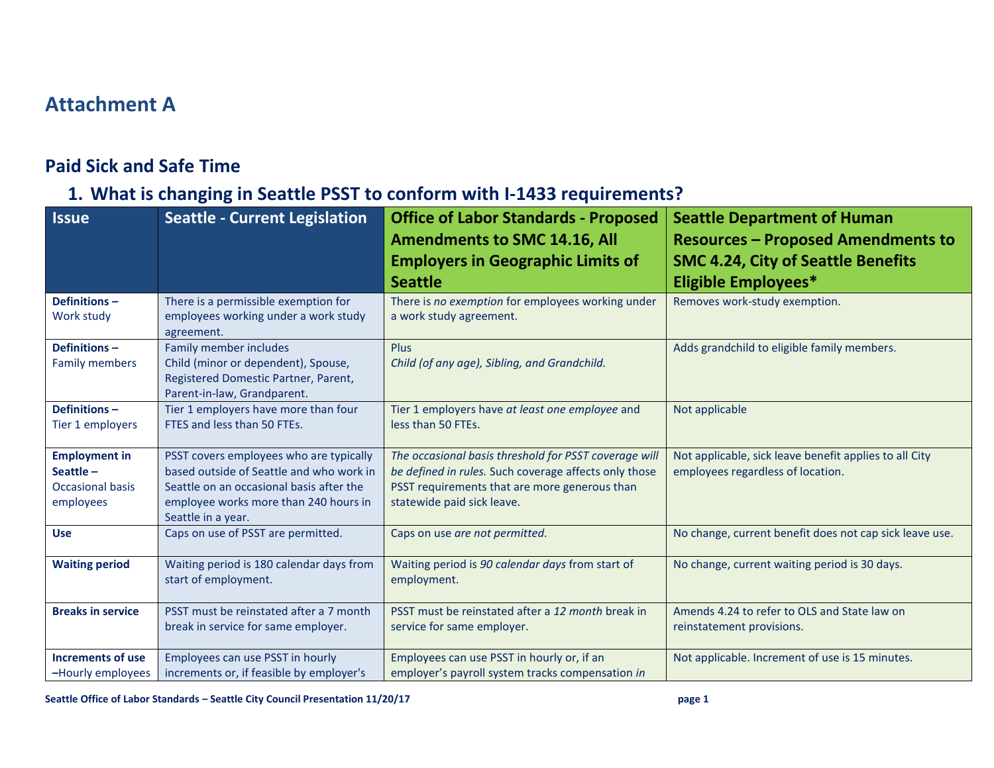## **Attachment A**

## **Paid Sick and Safe Time**

## **1. What is changing in Seattle PSST to conform with I-1433 requirements?**

| <b>Issue</b>                                                                | <b>Seattle - Current Legislation</b>                                                                                                                                                           | <b>Office of Labor Standards - Proposed</b><br><b>Amendments to SMC 14.16, All</b><br><b>Employers in Geographic Limits of</b><br><b>Seattle</b>                                              | <b>Seattle Department of Human</b><br><b>Resources - Proposed Amendments to</b><br><b>SMC 4.24, City of Seattle Benefits</b><br><b>Eligible Employees*</b> |
|-----------------------------------------------------------------------------|------------------------------------------------------------------------------------------------------------------------------------------------------------------------------------------------|-----------------------------------------------------------------------------------------------------------------------------------------------------------------------------------------------|------------------------------------------------------------------------------------------------------------------------------------------------------------|
| Definitions-<br>Work study                                                  | There is a permissible exemption for<br>employees working under a work study<br>agreement.                                                                                                     | There is no exemption for employees working under<br>a work study agreement.                                                                                                                  | Removes work-study exemption.                                                                                                                              |
| Definitions-<br><b>Family members</b>                                       | Family member includes<br>Child (minor or dependent), Spouse,<br>Registered Domestic Partner, Parent,<br>Parent-in-law, Grandparent.                                                           | <b>Plus</b><br>Child (of any age), Sibling, and Grandchild.                                                                                                                                   | Adds grandchild to eligible family members.                                                                                                                |
| Definitions-<br>Tier 1 employers                                            | Tier 1 employers have more than four<br>FTES and less than 50 FTEs.                                                                                                                            | Tier 1 employers have at least one employee and<br>less than 50 FTEs.                                                                                                                         | Not applicable                                                                                                                                             |
| <b>Employment in</b><br>Seattle $-$<br><b>Occasional basis</b><br>employees | PSST covers employees who are typically<br>based outside of Seattle and who work in<br>Seattle on an occasional basis after the<br>employee works more than 240 hours in<br>Seattle in a year. | The occasional basis threshold for PSST coverage will<br>be defined in rules. Such coverage affects only those<br>PSST requirements that are more generous than<br>statewide paid sick leave. | Not applicable, sick leave benefit applies to all City<br>employees regardless of location.                                                                |
| <b>Use</b>                                                                  | Caps on use of PSST are permitted.                                                                                                                                                             | Caps on use are not permitted.                                                                                                                                                                | No change, current benefit does not cap sick leave use.                                                                                                    |
| <b>Waiting period</b>                                                       | Waiting period is 180 calendar days from<br>start of employment.                                                                                                                               | Waiting period is 90 calendar days from start of<br>employment.                                                                                                                               | No change, current waiting period is 30 days.                                                                                                              |
| <b>Breaks in service</b>                                                    | PSST must be reinstated after a 7 month<br>break in service for same employer.                                                                                                                 | PSST must be reinstated after a 12 month break in<br>service for same employer.                                                                                                               | Amends 4.24 to refer to OLS and State law on<br>reinstatement provisions.                                                                                  |
| <b>Increments of use</b><br>-Hourly employees                               | Employees can use PSST in hourly<br>increments or, if feasible by employer's                                                                                                                   | Employees can use PSST in hourly or, if an<br>employer's payroll system tracks compensation in                                                                                                | Not applicable. Increment of use is 15 minutes.                                                                                                            |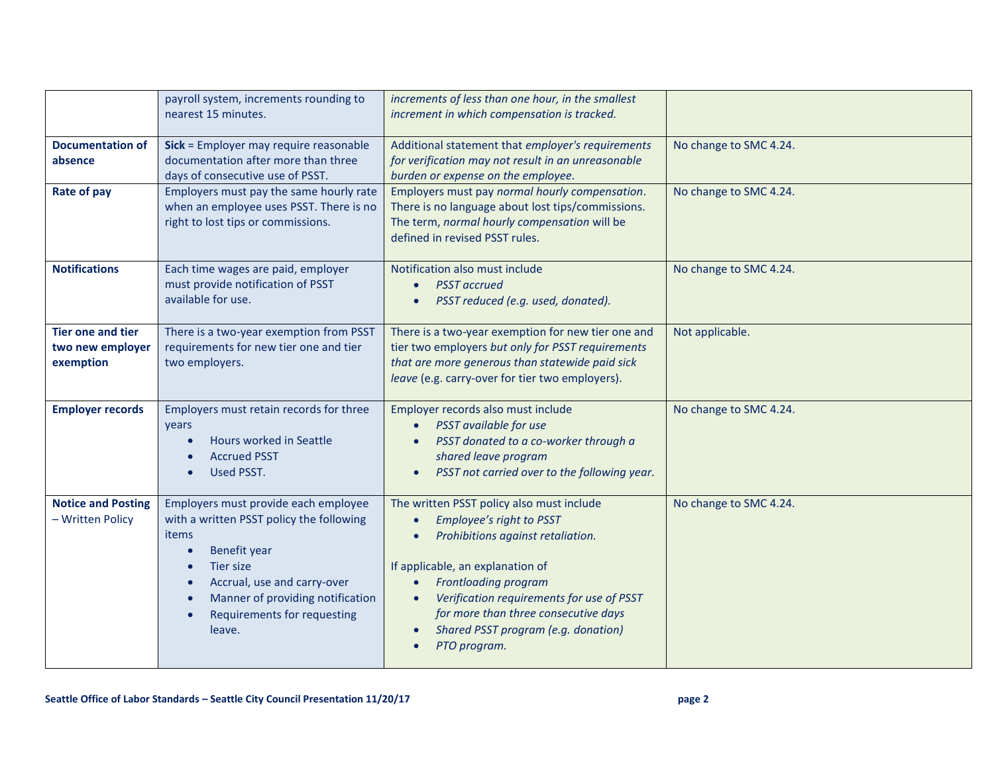|                                                           | payroll system, increments rounding to<br>nearest 15 minutes.                                                                                                                                                                             | increments of less than one hour, in the smallest<br>increment in which compensation is tracked.                                                                                                                                                                                                                          |                        |
|-----------------------------------------------------------|-------------------------------------------------------------------------------------------------------------------------------------------------------------------------------------------------------------------------------------------|---------------------------------------------------------------------------------------------------------------------------------------------------------------------------------------------------------------------------------------------------------------------------------------------------------------------------|------------------------|
| <b>Documentation of</b><br>absence                        | Sick = Employer may require reasonable<br>documentation after more than three<br>days of consecutive use of PSST.                                                                                                                         | Additional statement that employer's requirements<br>for verification may not result in an unreasonable<br>burden or expense on the employee.                                                                                                                                                                             | No change to SMC 4.24. |
| Rate of pay                                               | Employers must pay the same hourly rate<br>when an employee uses PSST. There is no<br>right to lost tips or commissions.                                                                                                                  | Employers must pay normal hourly compensation.<br>There is no language about lost tips/commissions.<br>The term, normal hourly compensation will be<br>defined in revised PSST rules.                                                                                                                                     | No change to SMC 4.24. |
| <b>Notifications</b>                                      | Each time wages are paid, employer<br>must provide notification of PSST<br>available for use.                                                                                                                                             | Notification also must include<br><b>PSST</b> accrued<br>PSST reduced (e.g. used, donated).                                                                                                                                                                                                                               | No change to SMC 4.24. |
| <b>Tier one and tier</b><br>two new employer<br>exemption | There is a two-year exemption from PSST<br>requirements for new tier one and tier<br>two employers.                                                                                                                                       | There is a two-year exemption for new tier one and<br>tier two employers but only for PSST requirements<br>that are more generous than statewide paid sick<br>leave (e.g. carry-over for tier two employers).                                                                                                             | Not applicable.        |
| <b>Employer records</b>                                   | Employers must retain records for three<br>years<br>Hours worked in Seattle<br><b>Accrued PSST</b><br>Used PSST.                                                                                                                          | Employer records also must include<br>PSST available for use<br>PSST donated to a co-worker through a<br>shared leave program<br>PSST not carried over to the following year.                                                                                                                                             | No change to SMC 4.24. |
| <b>Notice and Posting</b><br>- Written Policy             | Employers must provide each employee<br>with a written PSST policy the following<br><b>items</b><br>Benefit year<br>Tier size<br>Accrual, use and carry-over<br>Manner of providing notification<br>Requirements for requesting<br>leave. | The written PSST policy also must include<br>Employee's right to PSST<br>Prohibitions against retaliation.<br>If applicable, an explanation of<br><b>Frontloading program</b><br>Verification requirements for use of PSST<br>for more than three consecutive days<br>Shared PSST program (e.g. donation)<br>PTO program. | No change to SMC 4.24. |